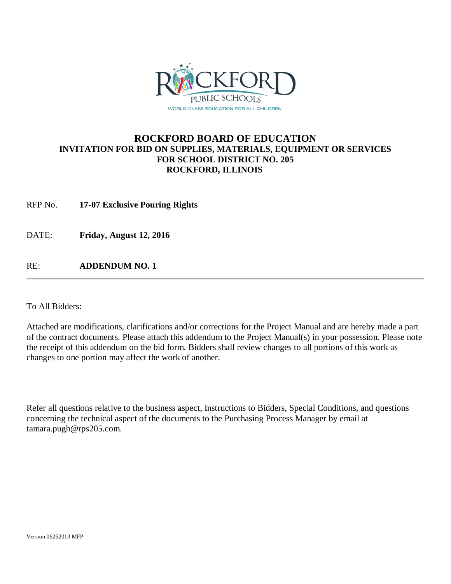

## **ROCKFORD BOARD OF EDUCATION INVITATION FOR BID ON SUPPLIES, MATERIALS, EQUIPMENT OR SERVICES FOR SCHOOL DISTRICT NO. 205 ROCKFORD, ILLINOIS**

RFP No. **17-07 Exclusive Pouring Rights**

DATE: **Friday, August 12, 2016**

RE: **ADDENDUM NO. 1**

To All Bidders:

Attached are modifications, clarifications and/or corrections for the Project Manual and are hereby made a part of the contract documents. Please attach this addendum to the Project Manual(s) in your possession. Please note the receipt of this addendum on the bid form. Bidders shall review changes to all portions of this work as changes to one portion may affect the work of another.

Refer all questions relative to the business aspect, Instructions to Bidders, Special Conditions, and questions concerning the technical aspect of the documents to the Purchasing Process Manager by email at tamara.pugh@rps205.com.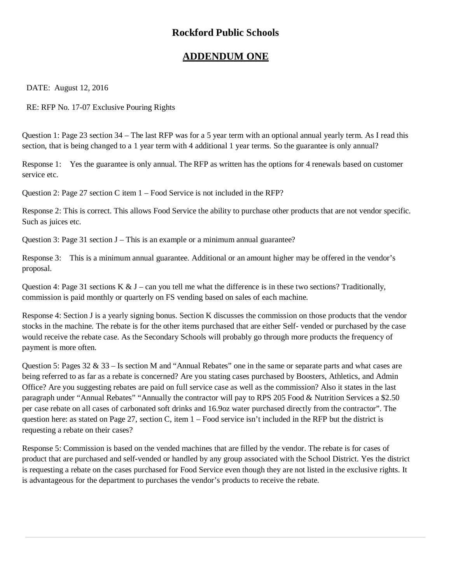## **Rockford Public Schools**

## **ADDENDUM ONE**

DATE: August 12, 2016

RE: RFP No. 17-07 Exclusive Pouring Rights

Question 1: Page 23 section 34 – The last RFP was for a 5 year term with an optional annual yearly term. As I read this section, that is being changed to a 1 year term with 4 additional 1 year terms. So the guarantee is only annual?

Response 1: Yes the guarantee is only annual. The RFP as written has the options for 4 renewals based on customer service etc.

Question 2: Page 27 section C item 1 – Food Service is not included in the RFP?

Response 2: This is correct. This allows Food Service the ability to purchase other products that are not vendor specific. Such as juices etc.

Question 3: Page 31 section J – This is an example or a minimum annual guarantee?

Response 3: This is a minimum annual guarantee. Additional or an amount higher may be offered in the vendor's proposal.

Question 4: Page 31 sections K  $& J$  – can you tell me what the difference is in these two sections? Traditionally, commission is paid monthly or quarterly on FS vending based on sales of each machine.

Response 4: Section J is a yearly signing bonus. Section K discusses the commission on those products that the vendor stocks in the machine. The rebate is for the other items purchased that are either Self- vended or purchased by the case would receive the rebate case. As the Secondary Schools will probably go through more products the frequency of payment is more often.

Question 5: Pages 32 & 33 – Is section M and "Annual Rebates" one in the same or separate parts and what cases are being referred to as far as a rebate is concerned? Are you stating cases purchased by Boosters, Athletics, and Admin Office? Are you suggesting rebates are paid on full service case as well as the commission? Also it states in the last paragraph under "Annual Rebates" "Annually the contractor will pay to RPS 205 Food & Nutrition Services a \$2.50 per case rebate on all cases of carbonated soft drinks and 16.9oz water purchased directly from the contractor". The question here: as stated on Page 27, section C, item 1 – Food service isn't included in the RFP but the district is requesting a rebate on their cases?

Response 5: Commission is based on the vended machines that are filled by the vendor. The rebate is for cases of product that are purchased and self-vended or handled by any group associated with the School District. Yes the district is requesting a rebate on the cases purchased for Food Service even though they are not listed in the exclusive rights. It is advantageous for the department to purchases the vendor's products to receive the rebate.